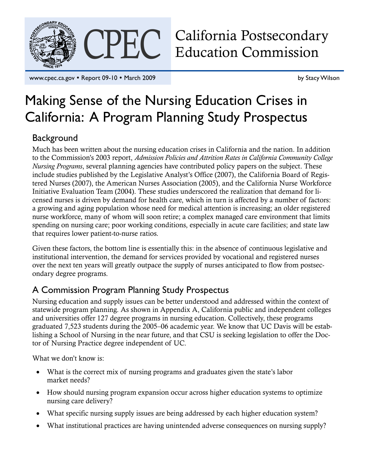

CPEC California Postsecondary<br>Education Commission Education Commission

www.cpec.ca.gov • Report 09-10 • March 2009 by Stacy Wilson

# Making Sense of the Nursing Education Crises in California: A Program Planning Study Prospectus

## **Background**

Much has been written about the nursing education crises in California and the nation. In addition to the Commission's 2003 report, *Admission Policies and Attrition Rates in California Community College Nursing Programs*, several planning agencies have contributed policy papers on the subject. These include studies published by the Legislative Analyst's Office (2007), the California Board of Registered Nurses (2007), the American Nurses Association (2005), and the California Nurse Workforce Initiative Evaluation Team (2004). These studies underscored the realization that demand for licensed nurses is driven by demand for health care, which in turn is affected by a number of factors: a growing and aging population whose need for medical attention is increasing; an older registered nurse workforce, many of whom will soon retire; a complex managed care environment that limits spending on nursing care; poor working conditions, especially in acute care facilities; and state law that requires lower patient-to-nurse ratios.

Given these factors, the bottom line is essentially this: in the absence of continuous legislative and institutional intervention, the demand for services provided by vocational and registered nurses over the next ten years will greatly outpace the supply of nurses anticipated to flow from postsecondary degree programs.

## A Commission Program Planning Study Prospectus

Nursing education and supply issues can be better understood and addressed within the context of statewide program planning. As shown in Appendix A, California public and independent colleges and universities offer 127 degree programs in nursing education. Collectively, these programs graduated 7,523 students during the 2005–06 academic year. We know that UC Davis will be establishing a School of Nursing in the near future, and that CSU is seeking legislation to offer the Doctor of Nursing Practice degree independent of UC.

What we don't know is:

- What is the correct mix of nursing programs and graduates given the state's labor market needs?
- How should nursing program expansion occur across higher education systems to optimize nursing care delivery?
- What specific nursing supply issues are being addressed by each higher education system?
- What institutional practices are having unintended adverse consequences on nursing supply?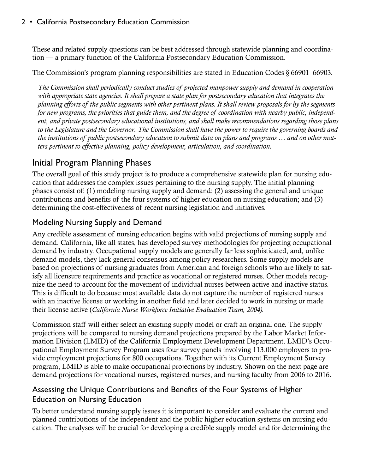These and related supply questions can be best addressed through statewide planning and coordination — a primary function of the California Postsecondary Education Commission.

The Commission's program planning responsibilities are stated in Education Codes § 66901–66903*.*

*The Commission shall periodically conduct studies of projected manpower supply and demand in cooperation with appropriate state agencies. It shall prepare a state plan for postsecondary education that integrates the planning efforts of the public segments with other pertinent plans. It shall review proposals for by the segments for new programs, the priorities that guide them, and the degree of coordination with nearby public, independent, and private postsecondary educational institutions, and shall make recommendations regarding those plans to the Legislature and the Governor*. *The Commission shall have the power to require the governing boards and the institutions of public postsecondary education to submit data on plans and programs … and on other matters pertinent to effective planning, policy development, articulation, and coordination.* 

## Initial Program Planning Phases

The overall goal of this study project is to produce a comprehensive statewide plan for nursing education that addresses the complex issues pertaining to the nursing supply. The initial planning phases consist of: (1) modeling nursing supply and demand; (2) assessing the general and unique contributions and benefits of the four systems of higher education on nursing education; and (3) determining the cost-effectiveness of recent nursing legislation and initiatives.

### Modeling Nursing Supply and Demand

Any credible assessment of nursing education begins with valid projections of nursing supply and demand. California, like all states, has developed survey methodologies for projecting occupational demand by industry. Occupational supply models are generally far less sophisticated, and, unlike demand models, they lack general consensus among policy researchers. Some supply models are based on projections of nursing graduates from American and foreign schools who are likely to satisfy all licensure requirements and practice as vocational or registered nurses. Other models recognize the need to account for the movement of individual nurses between active and inactive status. This is difficult to do because most available data do not capture the number of registered nurses with an inactive license or working in another field and later decided to work in nursing or made their license active (*California Nurse Workforce Initiative Evaluation Team, 2004).*

Commission staff will either select an existing supply model or craft an original one. The supply projections will be compared to nursing demand projections prepared by the Labor Market Information Division (LMID) of the California Employment Development Department. LMID's Occupational Employment Survey Program uses four survey panels involving 113,000 employers to provide employment projections for 800 occupations. Together with its Current Employment Survey program, LMID is able to make occupational projections by industry. Shown on the next page are demand projections for vocational nurses, registered nurses, and nursing faculty from 2006 to 2016.

### Assessing the Unique Contributions and Benefits of the Four Systems of Higher Education on Nursing Education

To better understand nursing supply issues it is important to consider and evaluate the current and planned contributions of the independent and the public higher education systems on nursing education. The analyses will be crucial for developing a credible supply model and for determining the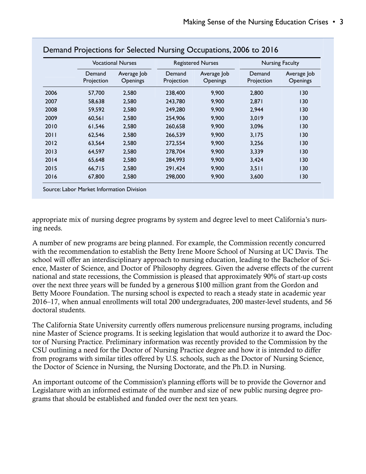|      | <b>Vocational Nurses</b> |                                | <b>Registered Nurses</b> |                                | <b>Nursing Faculty</b> |                                |
|------|--------------------------|--------------------------------|--------------------------|--------------------------------|------------------------|--------------------------------|
|      | Demand<br>Projection     | Average Job<br><b>Openings</b> | Demand<br>Projection     | Average Job<br><b>Openings</b> | Demand<br>Projection   | Average Job<br><b>Openings</b> |
| 2006 | 57,700                   | 2,580                          | 238,400                  | 9,900                          | 2,800                  | 130                            |
| 2007 | 58,638                   | 2,580                          | 243,780                  | 9,900                          | 2,871                  | 130                            |
| 2008 | 59,592                   | 2,580                          | 249,280                  | 9,900                          | 2,944                  | 130                            |
| 2009 | 60,561                   | 2,580                          | 254,906                  | 9,900                          | 3,019                  | 130                            |
| 2010 | 61,546                   | 2,580                          | 260,658                  | 9,900                          | 3,096                  | 130                            |
| 2011 | 62,546                   | 2,580                          | 266,539                  | 9,900                          | 3,175                  | 130                            |
| 2012 | 63,564                   | 2,580                          | 272,554                  | 9,900                          | 3,256                  | 130                            |
| 2013 | 64,597                   | 2,580                          | 278,704                  | 9,900                          | 3,339                  | 130                            |
| 2014 | 65,648                   | 2,580                          | 284,993                  | 9,900                          | 3,424                  | 130                            |
| 2015 | 66,715                   | 2,580                          | 291,424                  | 9,900                          | 3,511                  | 130                            |
| 2016 | 67,800                   | 2,580                          | 298,000                  | 9,900                          | 3,600                  | 130                            |

#### Demand Projections for Selected Nursing Occupations, 2006 to 2016

appropriate mix of nursing degree programs by system and degree level to meet California's nursing needs.

A number of new programs are being planned. For example, the Commission recently concurred with the recommendation to establish the Betty Irene Moore School of Nursing at UC Davis. The school will offer an interdisciplinary approach to nursing education, leading to the Bachelor of Science, Master of Science, and Doctor of Philosophy degrees. Given the adverse effects of the current national and state recessions, the Commission is pleased that approximately 90% of start-up costs over the next three years will be funded by a generous \$100 million grant from the Gordon and Betty Moore Foundation. The nursing school is expected to reach a steady state in academic year 2016–17, when annual enrollments will total 200 undergraduates, 200 master-level students, and 56 doctoral students.

The California State University currently offers numerous prelicensure nursing programs, including nine Master of Science programs. It is seeking legislation that would authorize it to award the Doctor of Nursing Practice. Preliminary information was recently provided to the Commission by the CSU outlining a need for the Doctor of Nursing Practice degree and how it is intended to differ from programs with similar titles offered by U.S. schools, such as the Doctor of Nursing Science, the Doctor of Science in Nursing, the Nursing Doctorate, and the Ph.D. in Nursing.

An important outcome of the Commission's planning efforts will be to provide the Governor and Legislature with an informed estimate of the number and size of new public nursing degree programs that should be established and funded over the next ten years.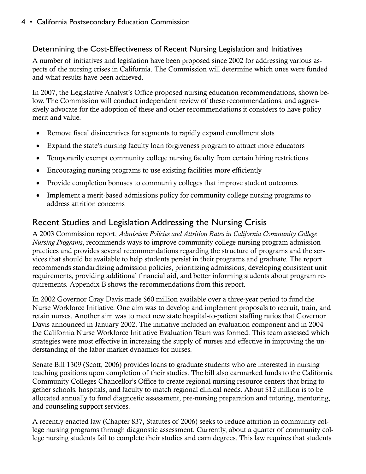#### Determining the Cost-Effectiveness of Recent Nursing Legislation and Initiatives

A number of initiatives and legislation have been proposed since 2002 for addressing various aspects of the nursing crises in California. The Commission will determine which ones were funded and what results have been achieved.

In 2007, the Legislative Analyst's Office proposed nursing education recommendations, shown below. The Commission will conduct independent review of these recommendations, and aggressively advocate for the adoption of these and other recommendations it considers to have policy merit and value.

- Remove fiscal disincentives for segments to rapidly expand enrollment slots
- Expand the state's nursing faculty loan forgiveness program to attract more educators
- Temporarily exempt community college nursing faculty from certain hiring restrictions
- Encouraging nursing programs to use existing facilities more efficiently
- Provide completion bonuses to community colleges that improve student outcomes
- Implement a merit-based admissions policy for community college nursing programs to address attrition concerns

## Recent Studies and Legislation Addressing the Nursing Crisis

A 2003 Commission report, *Admission Policies and Attrition Rates in California Community College Nursing Programs*, recommends ways to improve community college nursing program admission practices and provides several recommendations regarding the structure of programs and the services that should be available to help students persist in their programs and graduate. The report recommends standardizing admission policies, prioritizing admissions, developing consistent unit requirements, providing additional financial aid, and better informing students about program requirements. Appendix B shows the recommendations from this report.

In 2002 Governor Gray Davis made \$60 million available over a three-year period to fund the Nurse Workforce Initiative. One aim was to develop and implement proposals to recruit, train, and retain nurses. Another aim was to meet new state hospital-to-patient staffing ratios that Governor Davis announced in January 2002. The initiative included an evaluation component and in 2004 the California Nurse Workforce Initiative Evaluation Team was formed. This team assessed which strategies were most effective in increasing the supply of nurses and effective in improving the understanding of the labor market dynamics for nurses.

Senate Bill 1309 (Scott, 2006) provides loans to graduate students who are interested in nursing teaching positions upon completion of their studies. The bill also earmarked funds to the California Community Colleges Chancellor's Office to create regional nursing resource centers that bring together schools, hospitals, and faculty to match regional clinical needs. About \$12 million is to be allocated annually to fund diagnostic assessment, pre-nursing preparation and tutoring, mentoring, and counseling support services.

A recently enacted law (Chapter 837, Statutes of 2006) seeks to reduce attrition in community college nursing programs through diagnostic assessment. Currently, about a quarter of community college nursing students fail to complete their studies and earn degrees. This law requires that students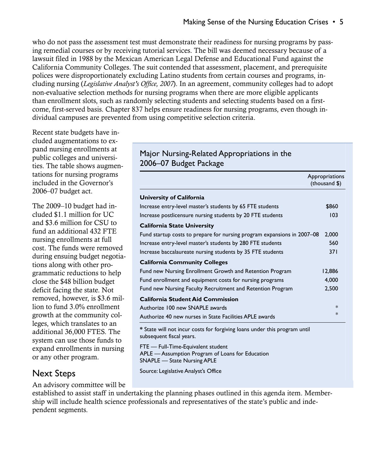who do not pass the assessment test must demonstrate their readiness for nursing programs by passing remedial courses or by receiving tutorial services. The bill was deemed necessary because of a lawsuit filed in 1988 by the Mexican American Legal Defense and Educational Fund against the California Community Colleges. The suit contended that assessment, placement, and prerequisite polices were disproportionately excluding Latino students from certain courses and programs, including nursing (*Legislative Analyst's Office, 2007*). In an agreement, community colleges had to adopt non-evaluative selection methods for nursing programs when there are more eligible applicants than enrollment slots, such as randomly selecting students and selecting students based on a firstcome, first-served basis. Chapter 837 helps ensure readiness for nursing programs, even though individual campuses are prevented from using competitive selection criteria.

Recent state budgets have included augmentations to expand nursing enrollments at public colleges and universities. The table shows augmentations for nursing programs included in the Governor's 2006–07 budget act.

The 2009–10 budget had included \$1.1 million for UC and \$3.6 million for CSU to fund an additional 432 FTE nursing enrollments at full cost. The funds were removed during ensuing budget negotiations along with other programmatic reductions to help close the \$48 billion budget deficit facing the state. Not removed, however, is \$3.6 million to fund 3.0% enrollment growth at the community colleges, which translates to an additional 36,000 FTES. The system can use those funds to expand enrollments in nursing or any other program.

## Next Steps

An advisory committee will be

established to assist staff in undertaking the planning phases outlined in this agenda item. Membership will include health science professionals and representatives of the state's public and independent segments.

### Major Nursing-Related Appropriations in the 2006–07 Budget Package

|                                                                           | Appropriations<br>(thousand \$) |  |
|---------------------------------------------------------------------------|---------------------------------|--|
| University of California                                                  |                                 |  |
| Increase entry-level master's students by 65 FTE students                 | \$860                           |  |
| Increase postlicensure nursing students by 20 FTE students                | 103                             |  |
| <b>California State University</b>                                        |                                 |  |
| Fund startup costs to prepare for nursing program expansions in 2007-08   | 2,000                           |  |
| Increase entry-level master's students by 280 FTE students                | 560                             |  |
| Increase baccalaureate nursing students by 35 FTE students                | 371                             |  |
| <b>California Community Colleges</b>                                      |                                 |  |
| Fund new Nursing Enrollment Growth and Retention Program                  | 12,886                          |  |
| Fund enrollment and equipment costs for nursing programs                  | 4,000                           |  |
| Fund new Nursing Faculty Recruitment and Retention Program                | 2,500                           |  |
| <b>California Student Aid Commission</b>                                  |                                 |  |
| Authorize 100 new SNAPLE awards                                           | $\ast$                          |  |
| Authorize 40 new nurses in State Facilities APLE awards                   | $\ast$                          |  |
| * State will not incur costs for forgiving loans under this program until |                                 |  |

**\*** State will not incur costs for forgiving loans under this program until subsequent fiscal years.

FTE — Full-Time-Equivalent student APLE — Assumption Program of Loans for Education SNAPLE — State Nursing APLE

Source: Legislative Analyst's Office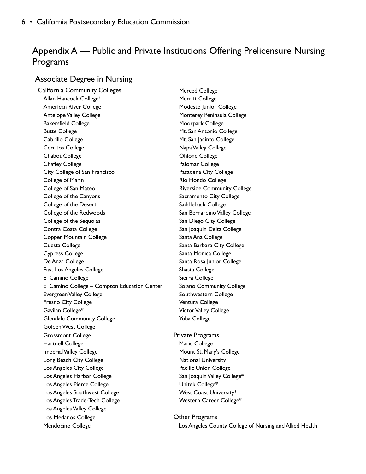## Appendix A — Public and Private Institutions Offering Prelicensure Nursing Programs

#### Associate Degree in Nursing

California Community Colleges Merced College Allan Hancock College\* Merritt College American River College Modesto Junior College Antelope Valley College Monterey Peninsula College Bakersfield College Moorpark College Butte College **Music Antonio College** Music Pollege Music Pollege and Music Pollege Cabrillo College **Mt. San Jacinto College** Cerritos College **Napa Valley College** Napa Valley College Chabot College Ohlone College Chaffey College **Palomar College** Palomar College City College of San Francisco **Pasadena City College** College of Marin **College** College College College of San Mateo **Riverside Community College** College of the Canyons The College Sacramento City College College of the Desert **Saddleback College** Saddleback College College of the Redwoods The San Bernardino Valley College College of the Sequoias San Diego City College Contra Costa College San Joaquin Delta College Copper Mountain College **Santa Ana College** Santa Ana College Cuesta College **Santa Barbara City College** Santa Barbara City College Cypress College **Santa Monica College** Santa Monica College De Anza College Santa Rosa Junior College East Los Angeles College Shasta College El Camino College **Sierra College** Sierra College El Camino College – Compton Education Center Solano Community College Evergreen Valley College Southwestern College Fresno City College Ventura College Gavilan College\* The College School College School Victor Valley College Glendale Community College The Tuba College Tuba College Golden West College Grossmont College **Private Programs** Hartnell College **Maric College** Maric College Imperial Valley College Mount St. Mary's College Long Beach City College National University Los Angeles City College **Pacific Union College** Pacific Union College Los Angeles Harbor College San Joaquin Valley College\* Los Angeles Pierce College Valley College\* Unitek College\* Los Angeles Southwest College Manuel Construction Coast University\* Los Angeles Trade-Tech College Western Career College\* Los Angeles Valley College Los Medanos College **Contracts** College **College** College **College** College **College** College College College College College College College College College College College College College College College College College

Mendocino College **Los Angeles County College of Nursing and Allied Health** Mendocino College of Nursing and Allied Health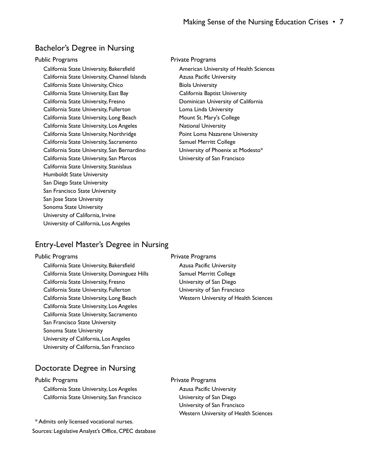#### Bachelor's Degree in Nursing

California State University, Bakersfield American University of Health Sciences California State University, Channel Islands **Azusa Pacific University** California State University, Chico Biola University California State University, East Bay California Baptist University California State University, Fresno Dominican University of California California State University, Fullerton Loma Linda University California State University, Long Beach Mount St. Mary's College California State University, Los Angeles National University California State University, Northridge **Point Loma Nazarene University** California State University, Sacramento Samuel Merritt College California State University, San Bernardino **University of Phoenix at Modesto**\* California State University, San Marcos University of San Francisco California State University, Stanislaus Humboldt State University San Diego State University San Francisco State University San Jose State University Sonoma State University University of California, Irvine University of California, Los Angeles

#### Public Programs **Private Programs** Private Programs

#### Entry-Level Master's Degree in Nursing

California State University, Bakersfield **Azusa Pacific University** California State University, Dominguez Hills Samuel Merritt College California State University, Fresno **University of San Diego** California State University, Fullerton University of San Francisco California State University, Long Beach Western University of Health Sciences California State University, Los Angeles California State University, Sacramento San Francisco State University Sonoma State University University of California, Los Angeles University of California, San Francisco

Public Programs **Public Programs** Private Programs

#### Doctorate Degree in Nursing

California State University, San Francisco University of San Diego

\* Admits only licensed vocational nurses. Sources: Legislative Analyst's Office, CPEC database

#### Public Programs **Public Programs** Private Programs

California State University, Los Angeles **Azusa Pacific University**  University of San Francisco Western University of Health Sciences